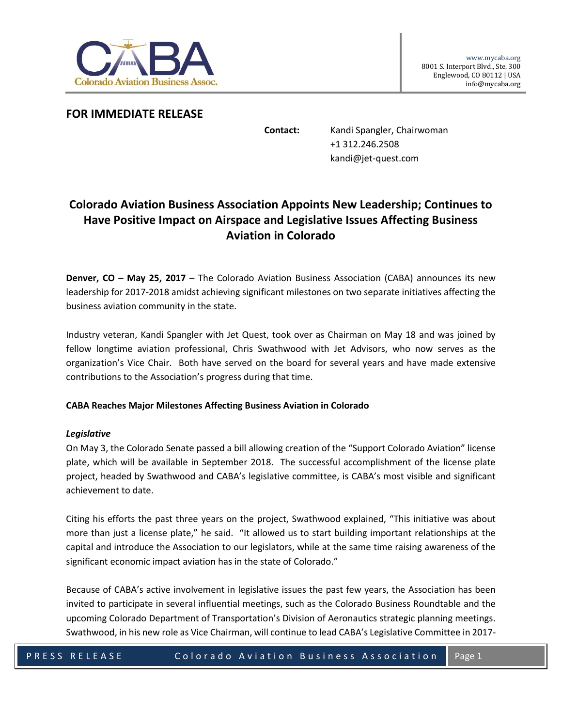

## **FOR IMMEDIATE RELEASE**

**Contact:** Kandi Spangler, Chairwoman +1 312.246.2508 kandi@jet-quest.com

# **Colorado Aviation Business Association Appoints New Leadership; Continues to Have Positive Impact on Airspace and Legislative Issues Affecting Business Aviation in Colorado**

**Denver, CO – May 25, 2017** – The Colorado Aviation Business Association (CABA) announces its new leadership for 2017-2018 amidst achieving significant milestones on two separate initiatives affecting the business aviation community in the state.

Industry veteran, Kandi Spangler with Jet Quest, took over as Chairman on May 18 and was joined by fellow longtime aviation professional, Chris Swathwood with Jet Advisors, who now serves as the organization's Vice Chair. Both have served on the board for several years and have made extensive contributions to the Association's progress during that time.

### **CABA Reaches Major Milestones Affecting Business Aviation in Colorado**

#### *Legislative*

On May 3, the Colorado Senate passed a bill allowing creation of the "Support Colorado Aviation" license plate, which will be available in September 2018. The successful accomplishment of the license plate project, headed by Swathwood and CABA's legislative committee, is CABA's most visible and significant achievement to date.

Citing his efforts the past three years on the project, Swathwood explained, "This initiative was about more than just a license plate," he said. "It allowed us to start building important relationships at the capital and introduce the Association to our legislators, while at the same time raising awareness of the significant economic impact aviation has in the state of Colorado."

Because of CABA's active involvement in legislative issues the past few years, the Association has been invited to participate in several influential meetings, such as the Colorado Business Roundtable and the upcoming Colorado Department of Transportation's Division of Aeronautics strategic planning meetings. Swathwood, in his new role as Vice Chairman, will continue to lead CABA's Legislative Committee in 2017-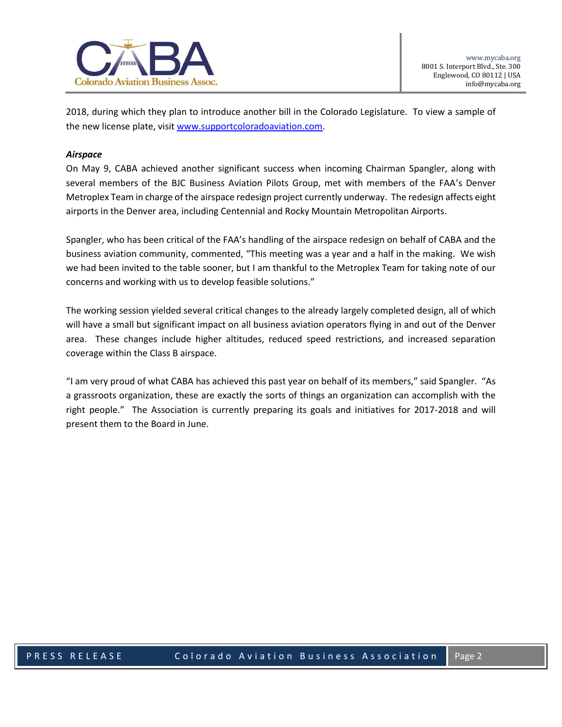

2018, during which they plan to introduce another bill in the Colorado Legislature. To view a sample of the new license plate, visit [www.supportcoloradoaviation.com.](www.supportcoloradoaviation.com)

#### *Airspace*

On May 9, CABA achieved another significant success when incoming Chairman Spangler, along with several members of the BJC Business Aviation Pilots Group, met with members of the FAA's Denver Metroplex Team in charge of the airspace redesign project currently underway. The redesign affects eight airports in the Denver area, including Centennial and Rocky Mountain Metropolitan Airports.

Spangler, who has been critical of the FAA's handling of the airspace redesign on behalf of CABA and the business aviation community, commented, "This meeting was a year and a half in the making. We wish we had been invited to the table sooner, but I am thankful to the Metroplex Team for taking note of our concerns and working with us to develop feasible solutions."

The working session yielded several critical changes to the already largely completed design, all of which will have a small but significant impact on all business aviation operators flying in and out of the Denver area. These changes include higher altitudes, reduced speed restrictions, and increased separation coverage within the Class B airspace.

"I am very proud of what CABA has achieved this past year on behalf of its members," said Spangler. "As a grassroots organization, these are exactly the sorts of things an organization can accomplish with the right people." The Association is currently preparing its goals and initiatives for 2017-2018 and will present them to the Board in June.